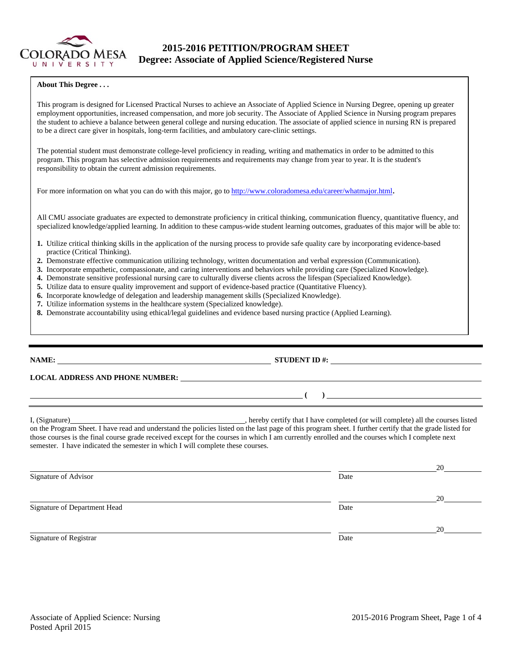

# **2015-2016 PETITION/PROGRAM SHEET Degree: Associate of Applied Science/Registered Nurse**

#### **About This Degree . . .**

This program is designed for Licensed Practical Nurses to achieve an Associate of Applied Science in Nursing Degree, opening up greater employment opportunities, increased compensation, and more job security. The Associate of Applied Science in Nursing program prepares the student to achieve a balance between general college and nursing education. The associate of applied science in nursing RN is prepared to be a direct care giver in hospitals, long-term facilities, and ambulatory care-clinic settings.

The potential student must demonstrate college-level proficiency in reading, writing and mathematics in order to be admitted to this program. This program has selective admission requirements and requirements may change from year to year. It is the student's responsibility to obtain the current admission requirements.

For more information on what you can do with this major, go to http://www.coloradomesa.edu/career/whatmajor.html.

All CMU associate graduates are expected to demonstrate proficiency in critical thinking, communication fluency, quantitative fluency, and specialized knowledge/applied learning. In addition to these campus-wide student learning outcomes, graduates of this major will be able to:

- **1.** Utilize critical thinking skills in the application of the nursing process to provide safe quality care by incorporating evidence-based practice (Critical Thinking).
- **2.** Demonstrate effective communication utilizing technology, written documentation and verbal expression (Communication).
- **3.** Incorporate empathetic, compassionate, and caring interventions and behaviors while providing care (Specialized Knowledge).
- **4.** Demonstrate sensitive professional nursing care to culturally diverse clients across the lifespan (Specialized Knowledge).
- **5.** Utilize data to ensure quality improvement and support of evidence-based practice (Quantitative Fluency).
- **6.** Incorporate knowledge of delegation and leadership management skills (Specialized Knowledge).
- **7.** Utilize information systems in the healthcare system (Specialized knowledge).
- **8.** Demonstrate accountability using ethical/legal guidelines and evidence based nursing practice (Applied Learning).

### **NAME: STUDENT ID #: STUDENT ID #: STUDENT ID #: STUDENT ID #: STUDENT ID #: STUDENT ID #: STUDENT ID #: STUDENT ID #: STUDENT ID #: STUDENT ID #: STUDENT ID #: STUDENT ID #: STUDENT ID #: STUDE**

# **LOCAL ADDRESS AND PHONE NUMBER:**

I, (Signature) **Solution** , hereby certify that I have completed (or will complete) all the courses listed on the Program Sheet. I have read and understand the policies listed on the last page of this program sheet. I further certify that the grade listed for those courses is the final course grade received except for the courses in which I am currently enrolled and the courses which I complete next semester. I have indicated the semester in which I will complete these courses.

|                              |      | 20 |
|------------------------------|------|----|
| Signature of Advisor         | Date |    |
|                              |      | 20 |
| Signature of Department Head | Date |    |
|                              |      | 20 |
| Signature of Registrar       | Date |    |

 **( )**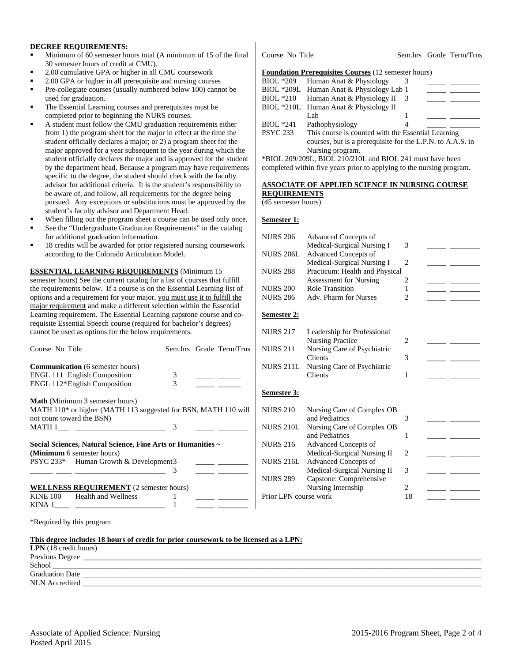### **DEGREE REQUIREMENTS:**

- Minimum of 60 semester hours total (A minimum of 15 of the final 30 semester hours of credit at CMU).
- 2.00 cumulative GPA or higher in all CMU coursework
- 2.00 GPA or higher in all prerequisite and nursing courses
- Pre-collegiate courses (usually numbered below 100) cannot be used for graduation.
- The Essential Learning courses and prerequisites must be completed prior to beginning the NURS courses.
- A student must follow the CMU graduation requirements either from 1) the program sheet for the major in effect at the time the student officially declares a major; or 2) a program sheet for the major approved for a year subsequent to the year during which the student officially declares the major and is approved for the student by the department head. Because a program may have requirements specific to the degree, the student should check with the faculty advisor for additional criteria. It is the student's responsibility to be aware of, and follow, all requirements for the degree being pursued. Any exceptions or substitutions must be approved by the student's faculty advisor and Department Head.
- When filling out the program sheet a course can be used only once. See the "Undergraduate Graduation Requirements" in the catalog
- for additional graduation information. 18 credits will be awarded for prior registered nursing coursework
- according to the Colorado Articulation Model.

**ESSENTIAL LEARNING REQUIREMENTS** (Minimum 15

semester hours) See the current catalog for a list of courses that fulfill the requirements below. If a course is on the Essential Learning list of options and a requirement for your major, you must use it to fulfill the major requirement and make a different selection within the Essential Learning requirement. The Essential Learning capstone course and corequisite Essential Speech course (required for bachelor's degrees) cannot be used as options for the below requirements.

| Course No Title                                                                           |   | Sem.hrs Grade Term/Trns                                                                                                   |
|-------------------------------------------------------------------------------------------|---|---------------------------------------------------------------------------------------------------------------------------|
| <b>Communication</b> (6 semester hours)                                                   |   |                                                                                                                           |
| <b>ENGL 111 English Composition</b>                                                       | 3 | $\overline{\phantom{a}}$                                                                                                  |
| ENGL 112*English Composition                                                              | 3 |                                                                                                                           |
| <b>Math</b> (Minimum 3 semester hours)                                                    |   |                                                                                                                           |
| MATH 110* or higher (MATH 113 suggested for BSN, MATH 110 will                            |   |                                                                                                                           |
| not count toward the BSN)                                                                 |   |                                                                                                                           |
|                                                                                           | 3 |                                                                                                                           |
| Social Sciences, Natural Science, Fine Arts or Humanities ~<br>(Minimum 6 semester hours) |   |                                                                                                                           |
|                                                                                           |   |                                                                                                                           |
| PSYC 233* Human Growth & Development 3                                                    | 3 | <u> 1999 - Jan Barnett, politik eta politik eta politik eta politik eta politik eta politik eta politik eta politik e</u> |
| <b>WELLNESS REQUIREMENT</b> (2 semester hours)                                            |   |                                                                                                                           |
| KINE 100 Health and Wellness                                                              |   |                                                                                                                           |
|                                                                                           |   |                                                                                                                           |

Course No Title Sem.hrs Grade Term/Trns

#### **Foundation Prerequisites Courses** (12 semester hours)

|                  | BIOL *209 Human Anat & Physiology                          |  |  |  |
|------------------|------------------------------------------------------------|--|--|--|
|                  | BIOL *209L Human Anat & Physiology Lab 1                   |  |  |  |
|                  | BIOL *210 Human Anat & Physiology II                       |  |  |  |
|                  | BIOL *210L Human Anat & Physiology II                      |  |  |  |
|                  | Lab                                                        |  |  |  |
| <b>BIOL</b> *241 | Pathophysiology                                            |  |  |  |
| <b>PSYC 233</b>  | This course is counted with the Essential Learning         |  |  |  |
|                  | courses, but is a prerequisite for the L.P.N. to A.A.S. in |  |  |  |
|                  | $\mathbf{M}$ . The contract of $\mathbf{M}$                |  |  |  |

Nursing program. \*BIOL 209/209L, BIOL 210/210L and BIOL 241 must have been completed within five years prior to applying to the nursing program.

#### **ASSOCIATE OF APPLIED SCIENCE IN NURSING COURSE**

**REQUIREMENTS**

(45 semester hours)

#### **Semester 1:**

| <b>NURS 206</b>       | <b>Advanced Concepts of</b>    |                      |  |
|-----------------------|--------------------------------|----------------------|--|
|                       | Medical-Surgical Nursing I     | 3                    |  |
| <b>NURS 206L</b>      | <b>Advanced Concepts of</b>    |                      |  |
|                       | Medical-Surgical Nursing I     | $\overline{c}$       |  |
| <b>NURS 288</b>       | Practicum: Health and Physical |                      |  |
|                       | <b>Assessment for Nursing</b>  | 2                    |  |
| <b>NURS 200</b>       | <b>Role Transition</b>         | 1                    |  |
| <b>NURS 286</b>       | Adv. Pharm for Nurses          | $\mathfrak{D}$       |  |
|                       |                                |                      |  |
| Semester 2:           |                                |                      |  |
|                       |                                |                      |  |
| <b>NURS 217</b>       | Leadership for Professional    |                      |  |
|                       | <b>Nursing Practice</b>        | $\overline{c}$       |  |
| <b>NURS 211</b>       | Nursing Care of Psychiatric    |                      |  |
|                       | <b>Clients</b>                 | 3                    |  |
| <b>NURS 211L</b>      | Nursing Care of Psychiatric    |                      |  |
|                       | Clients                        | 1                    |  |
|                       |                                |                      |  |
| Semester 3:           |                                |                      |  |
| <b>NURS 210</b>       | Nursing Care of Complex OB     |                      |  |
|                       | and Pediatrics                 | 3                    |  |
| <b>NURS 210L</b>      | Nursing Care of Complex OB     |                      |  |
|                       | and Pediatrics                 | 1                    |  |
| <b>NURS 216</b>       | <b>Advanced Concepts of</b>    |                      |  |
|                       | Medical-Surgical Nursing II    | $\mathfrak{D}$       |  |
| <b>NURS 216L</b>      | <b>Advanced Concepts of</b>    |                      |  |
|                       | Medical-Surgical Nursing II    | 3                    |  |
| <b>NURS 289</b>       | Capstone: Comprehensive        |                      |  |
|                       |                                |                      |  |
|                       |                                |                      |  |
| Prior LPN course work | Nursing Internship             | $\overline{2}$<br>18 |  |

\*Required by this program

|  | This degree includes 18 hours of credit for prior coursework to be licensed as a LPN: |  |  |
|--|---------------------------------------------------------------------------------------|--|--|
|--|---------------------------------------------------------------------------------------|--|--|

| <b>LPN</b> $(18 \text{ credit hours})$ |  |
|----------------------------------------|--|
| Previous Degree                        |  |
| School                                 |  |
| <b>Graduation Date</b>                 |  |
| <b>NLN</b> Accredited                  |  |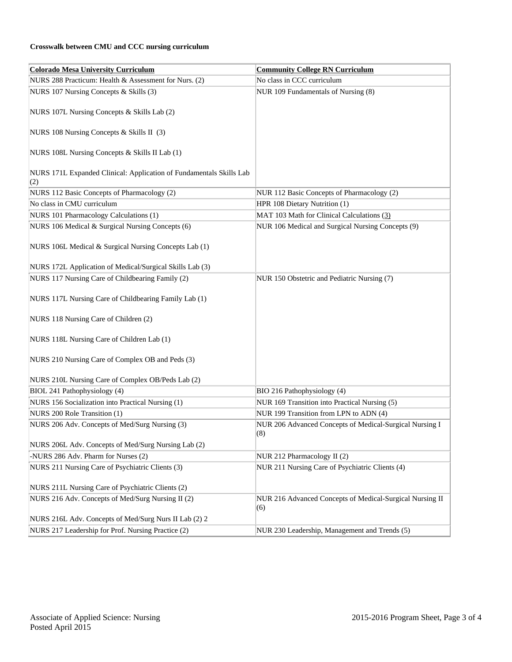# **Crosswalk between CMU and CCC nursing curriculum**

| <b>Colorado Mesa University Curriculum</b>                                 | <b>Community College RN Curriculum</b>                         |
|----------------------------------------------------------------------------|----------------------------------------------------------------|
| NURS 288 Practicum: Health & Assessment for Nurs. (2)                      | No class in CCC curriculum                                     |
| NURS 107 Nursing Concepts & Skills (3)                                     | NUR 109 Fundamentals of Nursing (8)                            |
| NURS 107L Nursing Concepts & Skills Lab (2)                                |                                                                |
| NURS 108 Nursing Concepts & Skills II (3)                                  |                                                                |
| NURS 108L Nursing Concepts & Skills II Lab (1)                             |                                                                |
| NURS 171L Expanded Clinical: Application of Fundamentals Skills Lab<br>(2) |                                                                |
| NURS 112 Basic Concepts of Pharmacology (2)                                | NUR 112 Basic Concepts of Pharmacology (2)                     |
| No class in CMU curriculum                                                 | HPR 108 Dietary Nutrition (1)                                  |
| NURS 101 Pharmacology Calculations (1)                                     | MAT 103 Math for Clinical Calculations (3)                     |
| NURS 106 Medical & Surgical Nursing Concepts (6)                           | NUR 106 Medical and Surgical Nursing Concepts (9)              |
| NURS 106L Medical & Surgical Nursing Concepts Lab (1)                      |                                                                |
| NURS 172L Application of Medical/Surgical Skills Lab (3)                   |                                                                |
| NURS 117 Nursing Care of Childbearing Family (2)                           | NUR 150 Obstetric and Pediatric Nursing (7)                    |
| NURS 117L Nursing Care of Childbearing Family Lab (1)                      |                                                                |
| NURS 118 Nursing Care of Children (2)                                      |                                                                |
| NURS 118L Nursing Care of Children Lab (1)                                 |                                                                |
| NURS 210 Nursing Care of Complex OB and Peds (3)                           |                                                                |
| NURS 210L Nursing Care of Complex OB/Peds Lab (2)                          |                                                                |
| BIOL 241 Pathophysiology (4)                                               | BIO 216 Pathophysiology (4)                                    |
| NURS 156 Socialization into Practical Nursing (1)                          | NUR 169 Transition into Practical Nursing (5)                  |
| NURS 200 Role Transition (1)                                               | NUR 199 Transition from LPN to ADN (4)                         |
| NURS 206 Adv. Concepts of Med/Surg Nursing (3)                             | NUR 206 Advanced Concepts of Medical-Surgical Nursing I<br>(8) |
| NURS 206L Adv. Concepts of Med/Surg Nursing Lab (2)                        |                                                                |
| -NURS 286 Adv. Pharm for Nurses (2)                                        | NUR 212 Pharmacology II (2)                                    |
| NURS 211 Nursing Care of Psychiatric Clients (3)                           | NUR 211 Nursing Care of Psychiatric Clients (4)                |
| NURS 211L Nursing Care of Psychiatric Clients (2)                          |                                                                |
| NURS 216 Adv. Concepts of Med/Surg Nursing II (2)                          | NUR 216 Advanced Concepts of Medical-Surgical Nursing II       |
|                                                                            | (6)                                                            |
| NURS 216L Adv. Concepts of Med/Surg Nurs II Lab (2) 2                      |                                                                |
| NURS 217 Leadership for Prof. Nursing Practice (2)                         | NUR 230 Leadership, Management and Trends (5)                  |